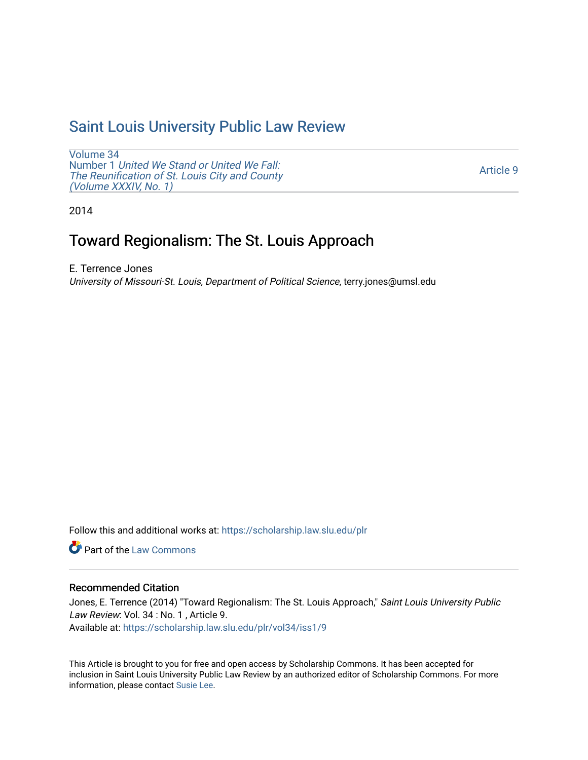# [Saint Louis University Public Law Review](https://scholarship.law.slu.edu/plr)

[Volume 34](https://scholarship.law.slu.edu/plr/vol34) Number 1 [United We Stand or United We Fall:](https://scholarship.law.slu.edu/plr/vol34/iss1) [The Reunification of St. Louis City and County](https://scholarship.law.slu.edu/plr/vol34/iss1) [\(Volume XXXIV, No. 1\)](https://scholarship.law.slu.edu/plr/vol34/iss1) 

[Article 9](https://scholarship.law.slu.edu/plr/vol34/iss1/9) 

2014

# Toward Regionalism: The St. Louis Approach

E. Terrence Jones University of Missouri-St. Louis, Department of Political Science, terry.jones@umsl.edu

Follow this and additional works at: [https://scholarship.law.slu.edu/plr](https://scholarship.law.slu.edu/plr?utm_source=scholarship.law.slu.edu%2Fplr%2Fvol34%2Fiss1%2F9&utm_medium=PDF&utm_campaign=PDFCoverPages) 

**C** Part of the [Law Commons](http://network.bepress.com/hgg/discipline/578?utm_source=scholarship.law.slu.edu%2Fplr%2Fvol34%2Fiss1%2F9&utm_medium=PDF&utm_campaign=PDFCoverPages)

# Recommended Citation

Jones, E. Terrence (2014) "Toward Regionalism: The St. Louis Approach," Saint Louis University Public Law Review: Vol. 34 : No. 1, Article 9. Available at: [https://scholarship.law.slu.edu/plr/vol34/iss1/9](https://scholarship.law.slu.edu/plr/vol34/iss1/9?utm_source=scholarship.law.slu.edu%2Fplr%2Fvol34%2Fiss1%2F9&utm_medium=PDF&utm_campaign=PDFCoverPages)

This Article is brought to you for free and open access by Scholarship Commons. It has been accepted for inclusion in Saint Louis University Public Law Review by an authorized editor of Scholarship Commons. For more information, please contact [Susie Lee](mailto:susie.lee@slu.edu).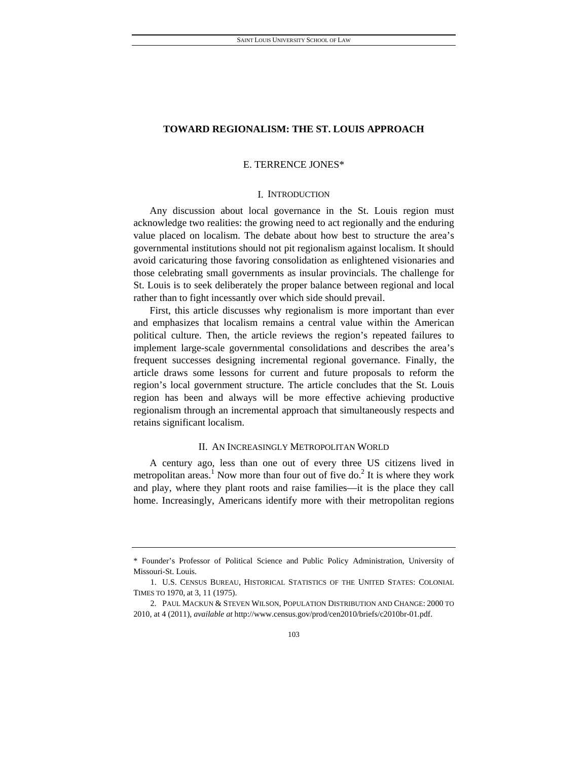# E. TERRENCE JONES\*

## I. INTRODUCTION

Any discussion about local governance in the St. Louis region must acknowledge two realities: the growing need to act regionally and the enduring value placed on localism. The debate about how best to structure the area's governmental institutions should not pit regionalism against localism. It should avoid caricaturing those favoring consolidation as enlightened visionaries and those celebrating small governments as insular provincials. The challenge for St. Louis is to seek deliberately the proper balance between regional and local rather than to fight incessantly over which side should prevail.

First, this article discusses why regionalism is more important than ever and emphasizes that localism remains a central value within the American political culture. Then, the article reviews the region's repeated failures to implement large-scale governmental consolidations and describes the area's frequent successes designing incremental regional governance. Finally, the article draws some lessons for current and future proposals to reform the region's local government structure. The article concludes that the St. Louis region has been and always will be more effective achieving productive regionalism through an incremental approach that simultaneously respects and retains significant localism.

# II. AN INCREASINGLY METROPOLITAN WORLD

A century ago, less than one out of every three US citizens lived in metropolitan areas.<sup>1</sup> Now more than four out of five do.<sup>2</sup> It is where they work and play, where they plant roots and raise families—it is the place they call home. Increasingly, Americans identify more with their metropolitan regions

<sup>\*</sup> Founder's Professor of Political Science and Public Policy Administration, University of Missouri-St. Louis.

 <sup>1.</sup> U.S. CENSUS BUREAU, HISTORICAL STATISTICS OF THE UNITED STATES: COLONIAL TIMES TO 1970, at 3, 11 (1975).

 <sup>2.</sup> PAUL MACKUN & STEVEN WILSON, POPULATION DISTRIBUTION AND CHANGE: 2000 TO 2010, at 4 (2011), *available at* http://www.census.gov/prod/cen2010/briefs/c2010br-01.pdf.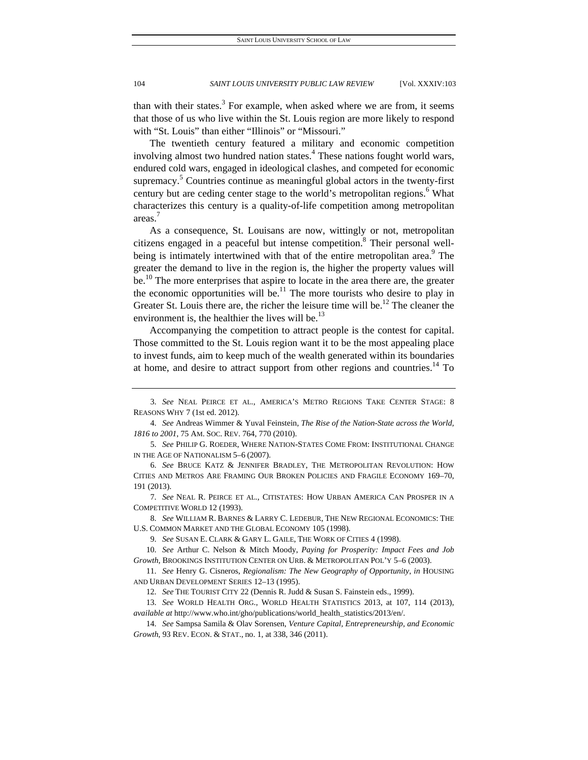than with their states. $3$  For example, when asked where we are from, it seems that those of us who live within the St. Louis region are more likely to respond with "St. Louis" than either "Illinois" or "Missouri."

The twentieth century featured a military and economic competition involving almost two hundred nation states.<sup>4</sup> These nations fought world wars, endured cold wars, engaged in ideological clashes, and competed for economic supremacy.<sup>5</sup> Countries continue as meaningful global actors in the twenty-first century but are ceding center stage to the world's metropolitan regions.<sup>6</sup> What characterizes this century is a quality-of-life competition among metropolitan areas. 7

As a consequence, St. Louisans are now, wittingly or not, metropolitan citizens engaged in a peaceful but intense competition.<sup>8</sup> Their personal wellbeing is intimately intertwined with that of the entire metropolitan area.<sup>9</sup> The greater the demand to live in the region is, the higher the property values will be.<sup>10</sup> The more enterprises that aspire to locate in the area there are, the greater the economic opportunities will be.<sup>11</sup> The more tourists who desire to play in Greater St. Louis there are, the richer the leisure time will be.<sup>12</sup> The cleaner the environment is, the healthier the lives will be. $^{13}$ 

Accompanying the competition to attract people is the contest for capital. Those committed to the St. Louis region want it to be the most appealing place to invest funds, aim to keep much of the wealth generated within its boundaries at home, and desire to attract support from other regions and countries.<sup>14</sup> To

 <sup>3.</sup> *See* NEAL PEIRCE ET AL., AMERICA'S METRO REGIONS TAKE CENTER STAGE: 8 REASONS WHY 7 (1st ed. 2012).

 <sup>4.</sup> *See* Andreas Wimmer & Yuval Feinstein, *The Rise of the Nation-State across the World, 1816 to 2001*, 75 AM. SOC. REV. 764, 770 (2010).

 <sup>5.</sup> *See* PHILIP G. ROEDER, WHERE NATION-STATES COME FROM: INSTITUTIONAL CHANGE IN THE AGE OF NATIONALISM 5–6 (2007).

 <sup>6.</sup> *See* BRUCE KATZ & JENNIFER BRADLEY, THE METROPOLITAN REVOLUTION: HOW CITIES AND METROS ARE FRAMING OUR BROKEN POLICIES AND FRAGILE ECONOMY 169–70, 191 (2013).

 <sup>7.</sup> *See* NEAL R. PEIRCE ET AL., CITISTATES: HOW URBAN AMERICA CAN PROSPER IN A COMPETITIVE WORLD 12 (1993).

 <sup>8.</sup> *See* WILLIAM R. BARNES & LARRY C. LEDEBUR, THE NEW REGIONAL ECONOMICS: THE U.S. COMMON MARKET AND THE GLOBAL ECONOMY 105 (1998).

 <sup>9.</sup> *See* SUSAN E. CLARK & GARY L. GAILE, THE WORK OF CITIES 4 (1998).

 <sup>10.</sup> *See* Arthur C. Nelson & Mitch Moody, *Paying for Prosperity: Impact Fees and Job Growth*, BROOKINGS INSTITUTION CENTER ON URB. & METROPOLITAN POL'Y 5–6 (2003).

 <sup>11.</sup> *See* Henry G. Cisneros, *Regionalism: The New Geography of Opportunity*, *in* HOUSING AND URBAN DEVELOPMENT SERIES 12–13 (1995).

 <sup>12.</sup> *See* THE TOURIST CITY 22 (Dennis R. Judd & Susan S. Fainstein eds., 1999).

 <sup>13.</sup> *See* WORLD HEALTH ORG., WORLD HEALTH STATISTICS 2013, at 107, 114 (2013), *available at* http://www.who.int/gho/publications/world\_health\_statistics/2013/en/.

 <sup>14.</sup> *See* Sampsa Samila & Olav Sorensen, *Venture Capital, Entrepreneurship, and Economic Growth*, 93 REV. ECON. & STAT., no. 1, at 338, 346 (2011).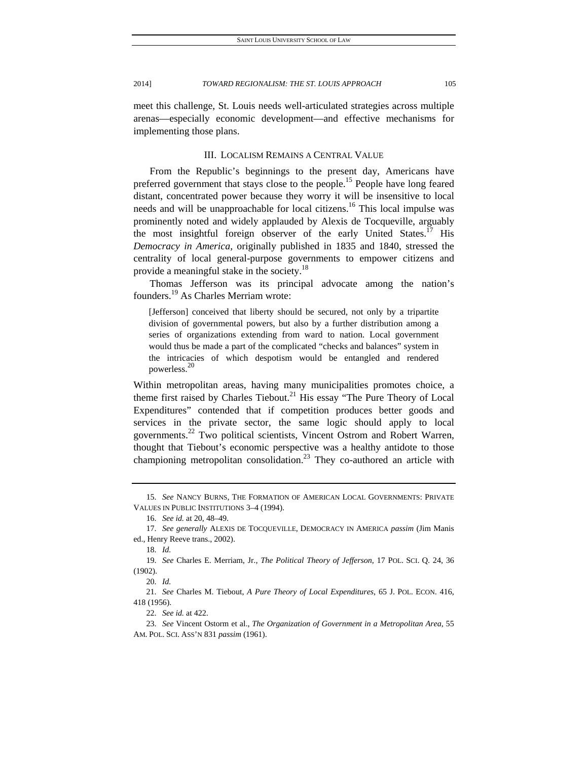meet this challenge, St. Louis needs well-articulated strategies across multiple arenas—especially economic development—and effective mechanisms for implementing those plans.

# III. LOCALISM REMAINS A CENTRAL VALUE

From the Republic's beginnings to the present day, Americans have preferred government that stays close to the people.<sup>15</sup> People have long feared distant, concentrated power because they worry it will be insensitive to local needs and will be unapproachable for local citizens.<sup>16</sup> This local impulse was prominently noted and widely applauded by Alexis de Tocqueville, arguably the most insightful foreign observer of the early United States.<sup>17</sup> His *Democracy in America*, originally published in 1835 and 1840, stressed the centrality of local general-purpose governments to empower citizens and provide a meaningful stake in the society.<sup>18</sup>

Thomas Jefferson was its principal advocate among the nation's founders.19 As Charles Merriam wrote:

[Jefferson] conceived that liberty should be secured, not only by a tripartite division of governmental powers, but also by a further distribution among a series of organizations extending from ward to nation. Local government would thus be made a part of the complicated "checks and balances" system in the intricacies of which despotism would be entangled and rendered powerless.<sup>20</sup>

Within metropolitan areas, having many municipalities promotes choice, a theme first raised by Charles Tiebout.<sup>21</sup> His essay "The Pure Theory of Local Expenditures" contended that if competition produces better goods and services in the private sector, the same logic should apply to local governments.22 Two political scientists, Vincent Ostrom and Robert Warren, thought that Tiebout's economic perspective was a healthy antidote to those championing metropolitan consolidation.<sup>23</sup> They co-authored an article with

 <sup>15.</sup> *See* NANCY BURNS, THE FORMATION OF AMERICAN LOCAL GOVERNMENTS: PRIVATE VALUES IN PUBLIC INSTITUTIONS 3–4 (1994).

 <sup>16.</sup> *See id.* at 20, 48–49.

 <sup>17.</sup> *See generally* ALEXIS DE TOCQUEVILLE, DEMOCRACY IN AMERICA *passim* (Jim Manis ed., Henry Reeve trans., 2002).

 <sup>18.</sup> *Id.*

 <sup>19.</sup> *See* Charles E. Merriam, Jr., *The Political Theory of Jefferson*, 17 POL. SCI. Q. 24, 36 (1902).

 <sup>20.</sup> *Id.*

 <sup>21.</sup> *See* Charles M. Tiebout, *A Pure Theory of Local Expenditures*, 65 J. POL. ECON. 416, 418 (1956).

 <sup>22.</sup> *See id.* at 422.

 <sup>23.</sup> *See* Vincent Ostorm et al., *The Organization of Government in a Metropolitan Area*, 55 AM. POL. SCI. ASS'N 831 *passim* (1961).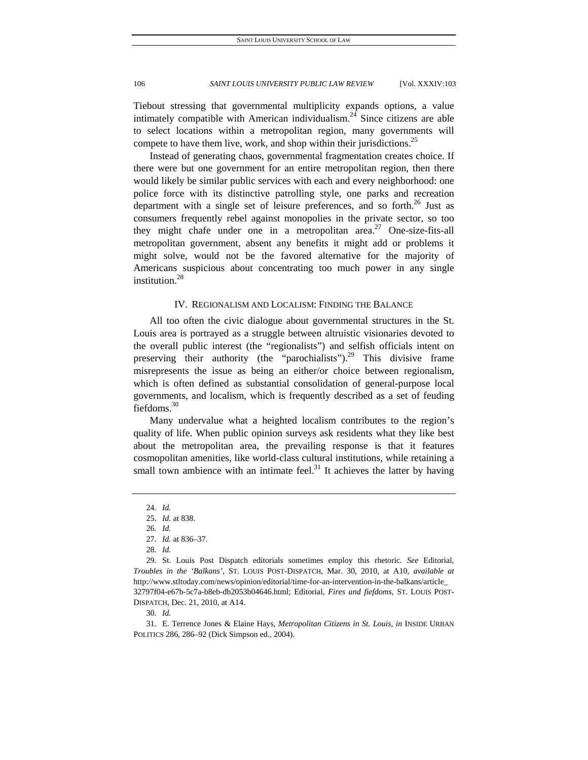Tiebout stressing that governmental multiplicity expands options, a value intimately compatible with American individualism.<sup>24</sup> Since citizens are able to select locations within a metropolitan region, many governments will compete to have them live, work, and shop within their jurisdictions.<sup>25</sup>

Instead of generating chaos, governmental fragmentation creates choice. If there were but one government for an entire metropolitan region, then there would likely be similar public services with each and every neighborhood: one police force with its distinctive patrolling style, one parks and recreation department with a single set of leisure preferences, and so forth.<sup>26</sup> Just as consumers frequently rebel against monopolies in the private sector, so too they might chafe under one in a metropolitan area.<sup>27</sup> One-size-fits-all metropolitan government, absent any benefits it might add or problems it might solve, would not be the favored alternative for the majority of Americans suspicious about concentrating too much power in any single institution.<sup>28</sup>

# IV. REGIONALISM AND LOCALISM: FINDING THE BALANCE

All too often the civic dialogue about governmental structures in the St. Louis area is portrayed as a struggle between altruistic visionaries devoted to the overall public interest (the "regionalists") and selfish officials intent on preserving their authority (the "parochialists").<sup>29</sup> This divisive frame misrepresents the issue as being an either/or choice between regionalism, which is often defined as substantial consolidation of general-purpose local governments, and localism, which is frequently described as a set of feuding fiefdoms.<sup>30</sup>

Many undervalue what a heighted localism contributes to the region's quality of life. When public opinion surveys ask residents what they like best about the metropolitan area, the prevailing response is that it features cosmopolitan amenities, like world-class cultural institutions, while retaining a small town ambience with an intimate feel.<sup>31</sup> It achieves the latter by having

30. *Id.*

 31. E. Terrence Jones & Elaine Hays, *Metropolitan Citizens in St. Louis*, *in* INSIDE URBAN POLITICS 286, 286–92 (Dick Simpson ed., 2004).

 <sup>24.</sup> *Id.*

 <sup>25.</sup> *Id.* at 838.

 <sup>26.</sup> *Id.*

 <sup>27.</sup> *Id.* at 836–37.

 <sup>28.</sup> *Id.*

 <sup>29.</sup> St. Louis Post Dispatch editorials sometimes employ this rhetoric. *See* Editorial, *Troubles in the 'Balkans'*, ST. LOUIS POST-DISPATCH, Mar. 30, 2010, at A10, *available at* http://www.stltoday.com/news/opinion/editorial/time-for-an-intervention-in-the-balkans/article\_ 32797f04-e67b-5c7a-b8eb-db2053b04646.html; Editorial, *Fires and fiefdoms*, ST. LOUIS POST-DISPATCH, Dec. 21, 2010, at A14.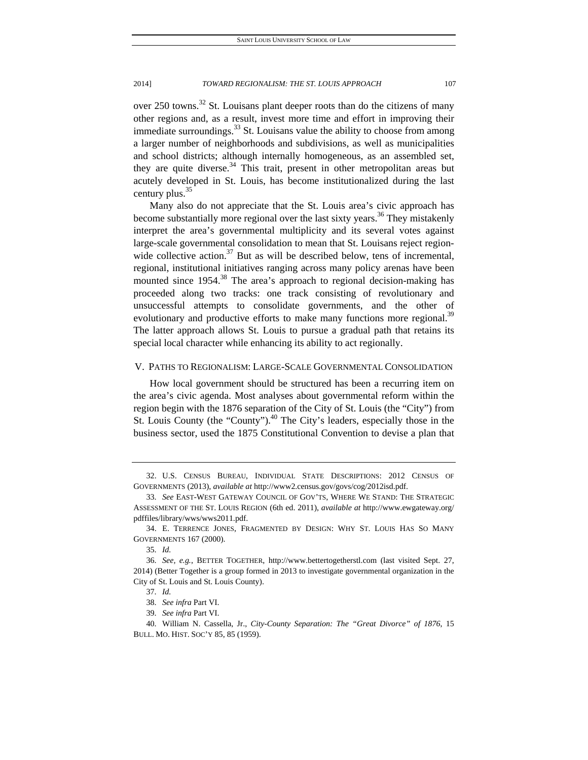over 250 towns.<sup>32</sup> St. Louisans plant deeper roots than do the citizens of many other regions and, as a result, invest more time and effort in improving their immediate surroundings.<sup>33</sup> St. Louisans value the ability to choose from among a larger number of neighborhoods and subdivisions, as well as municipalities and school districts; although internally homogeneous, as an assembled set, they are quite diverse.<sup>34</sup> This trait, present in other metropolitan areas but acutely developed in St. Louis, has become institutionalized during the last century plus.<sup>35</sup>

Many also do not appreciate that the St. Louis area's civic approach has become substantially more regional over the last sixty years.<sup>36</sup> They mistakenly interpret the area's governmental multiplicity and its several votes against large-scale governmental consolidation to mean that St. Louisans reject regionwide collective action. $37$  But as will be described below, tens of incremental, regional, institutional initiatives ranging across many policy arenas have been mounted since  $1954$ <sup>38</sup>. The area's approach to regional decision-making has proceeded along two tracks: one track consisting of revolutionary and unsuccessful attempts to consolidate governments, and the other of evolutionary and productive efforts to make many functions more regional.<sup>39</sup> The latter approach allows St. Louis to pursue a gradual path that retains its special local character while enhancing its ability to act regionally.

# V. PATHS TO REGIONALISM: LARGE-SCALE GOVERNMENTAL CONSOLIDATION

How local government should be structured has been a recurring item on the area's civic agenda. Most analyses about governmental reform within the region begin with the 1876 separation of the City of St. Louis (the "City") from St. Louis County (the "County"). $40$  The City's leaders, especially those in the business sector, used the 1875 Constitutional Convention to devise a plan that

 <sup>32.</sup> U.S. CENSUS BUREAU, INDIVIDUAL STATE DESCRIPTIONS: 2012 CENSUS OF GOVERNMENTS (2013), *available at* http://www2.census.gov/govs/cog/2012isd.pdf.

 <sup>33.</sup> *See* EAST-WEST GATEWAY COUNCIL OF GOV'TS, WHERE WE STAND: THE STRATEGIC ASSESSMENT OF THE ST. LOUIS REGION (6th ed. 2011), *available at* http://www.ewgateway.org/ pdffiles/library/wws/wws2011.pdf.

 <sup>34.</sup> E. TERRENCE JONES, FRAGMENTED BY DESIGN: WHY ST. LOUIS HAS SO MANY GOVERNMENTS 167 (2000).

 <sup>35.</sup> *Id.*

 <sup>36.</sup> *See, e.g.*, BETTER TOGETHER, http://www.bettertogetherstl.com (last visited Sept. 27, 2014) (Better Together is a group formed in 2013 to investigate governmental organization in the City of St. Louis and St. Louis County).

 <sup>37.</sup> *Id.*

 <sup>38.</sup> *See infra* Part VI.

 <sup>39.</sup> *See infra* Part VI.

 <sup>40.</sup> William N. Cassella, Jr., *City-County Separation: The "Great Divorce" of 1876*, 15 BULL. MO. HIST. SOC'Y 85, 85 (1959).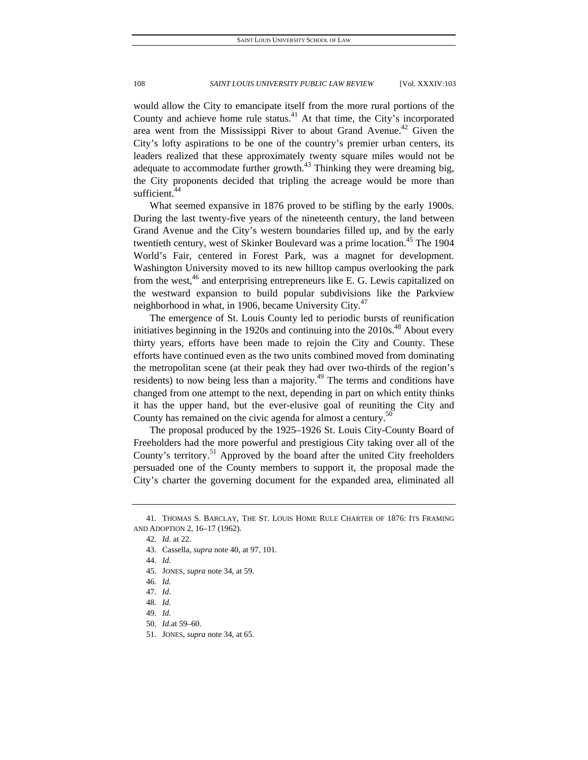would allow the City to emancipate itself from the more rural portions of the County and achieve home rule status.<sup>41</sup> At that time, the City's incorporated area went from the Mississippi River to about Grand Avenue.<sup>42</sup> Given the City's lofty aspirations to be one of the country's premier urban centers, its leaders realized that these approximately twenty square miles would not be adequate to accommodate further growth. $43$  Thinking they were dreaming big, the City proponents decided that tripling the acreage would be more than sufficient.<sup>44</sup>

What seemed expansive in 1876 proved to be stifling by the early 1900s. During the last twenty-five years of the nineteenth century, the land between Grand Avenue and the City's western boundaries filled up, and by the early twentieth century, west of Skinker Boulevard was a prime location.<sup>45</sup> The 1904 World's Fair, centered in Forest Park, was a magnet for development. Washington University moved to its new hilltop campus overlooking the park from the west, $46$  and enterprising entrepreneurs like E. G. Lewis capitalized on the westward expansion to build popular subdivisions like the Parkview neighborhood in what, in 1906, became University City.<sup>47</sup>

The emergence of St. Louis County led to periodic bursts of reunification initiatives beginning in the 1920s and continuing into the  $2010s<sup>48</sup>$  About every thirty years, efforts have been made to rejoin the City and County. These efforts have continued even as the two units combined moved from dominating the metropolitan scene (at their peak they had over two-thirds of the region's residents) to now being less than a majority. $49$  The terms and conditions have changed from one attempt to the next, depending in part on which entity thinks it has the upper hand, but the ever-elusive goal of reuniting the City and County has remained on the civic agenda for almost a century.<sup>50</sup>

The proposal produced by the 1925–1926 St. Louis City-County Board of Freeholders had the more powerful and prestigious City taking over all of the County's territory.<sup>51</sup> Approved by the board after the united City freeholders persuaded one of the County members to support it, the proposal made the City's charter the governing document for the expanded area, eliminated all

 <sup>41.</sup> THOMAS S. BARCLAY, THE ST. LOUIS HOME RULE CHARTER OF 1876: ITS FRAMING AND ADOPTION 2, 16–17 (1962).

 <sup>42.</sup> *Id.* at 22.

 <sup>43.</sup> Cassella, *supra* note 40, at 97, 101.

 <sup>44.</sup> *Id.*

 <sup>45.</sup> JONES, *supra* note 34, at 59.

 <sup>46.</sup> *Id.*

 <sup>47.</sup> *Id*.

 <sup>48.</sup> *Id.*

 <sup>49.</sup> *Id.*

 <sup>50.</sup> *Id.*at 59–60.

 <sup>51.</sup> JONES, *supra* note 34, at 65.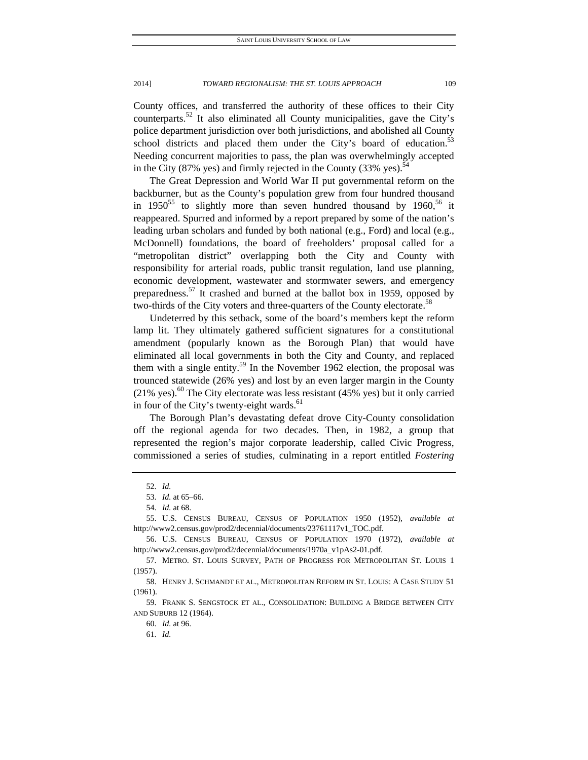County offices, and transferred the authority of these offices to their City counterparts.52 It also eliminated all County municipalities, gave the City's police department jurisdiction over both jurisdictions, and abolished all County school districts and placed them under the City's board of education.<sup>53</sup> Needing concurrent majorities to pass, the plan was overwhelmingly accepted in the City (87% yes) and firmly rejected in the County (33% yes).<sup>54</sup>

The Great Depression and World War II put governmental reform on the backburner, but as the County's population grew from four hundred thousand in 1950<sup>55</sup> to slightly more than seven hundred thousand by 1960,<sup>56</sup> it reappeared. Spurred and informed by a report prepared by some of the nation's leading urban scholars and funded by both national (e.g., Ford) and local (e.g., McDonnell) foundations, the board of freeholders' proposal called for a "metropolitan district" overlapping both the City and County with responsibility for arterial roads, public transit regulation, land use planning, economic development, wastewater and stormwater sewers, and emergency preparedness.57 It crashed and burned at the ballot box in 1959, opposed by two-thirds of the City voters and three-quarters of the County electorate.<sup>58</sup>

Undeterred by this setback, some of the board's members kept the reform lamp lit. They ultimately gathered sufficient signatures for a constitutional amendment (popularly known as the Borough Plan) that would have eliminated all local governments in both the City and County, and replaced them with a single entity.<sup>59</sup> In the November 1962 election, the proposal was trounced statewide (26% yes) and lost by an even larger margin in the County  $(21\%$  yes).<sup>60</sup> The City electorate was less resistant (45% yes) but it only carried in four of the City's twenty-eight wards.<sup>61</sup>

The Borough Plan's devastating defeat drove City-County consolidation off the regional agenda for two decades. Then, in 1982, a group that represented the region's major corporate leadership, called Civic Progress, commissioned a series of studies, culminating in a report entitled *Fostering* 

 <sup>52.</sup> *Id.*

 <sup>53.</sup> *Id.* at 65–66.

 <sup>54.</sup> *Id.* at 68.

 <sup>55.</sup> U.S. CENSUS BUREAU, CENSUS OF POPULATION 1950 (1952), *available at* http://www2.census.gov/prod2/decennial/documents/23761117v1\_TOC.pdf.

 <sup>56.</sup> U.S. CENSUS BUREAU, CENSUS OF POPULATION 1970 (1972), *available at* http://www2.census.gov/prod2/decennial/documents/1970a\_v1pAs2-01.pdf.

 <sup>57.</sup> METRO. ST. LOUIS SURVEY, PATH OF PROGRESS FOR METROPOLITAN ST. LOUIS 1 (1957).

 <sup>58.</sup> HENRY J. SCHMANDT ET AL., METROPOLITAN REFORM IN ST. LOUIS: A CASE STUDY 51 (1961).

 <sup>59.</sup> FRANK S. SENGSTOCK ET AL., CONSOLIDATION: BUILDING A BRIDGE BETWEEN CITY AND SUBURB 12 (1964).

 <sup>60.</sup> *Id.* at 96.

 <sup>61.</sup> *Id.*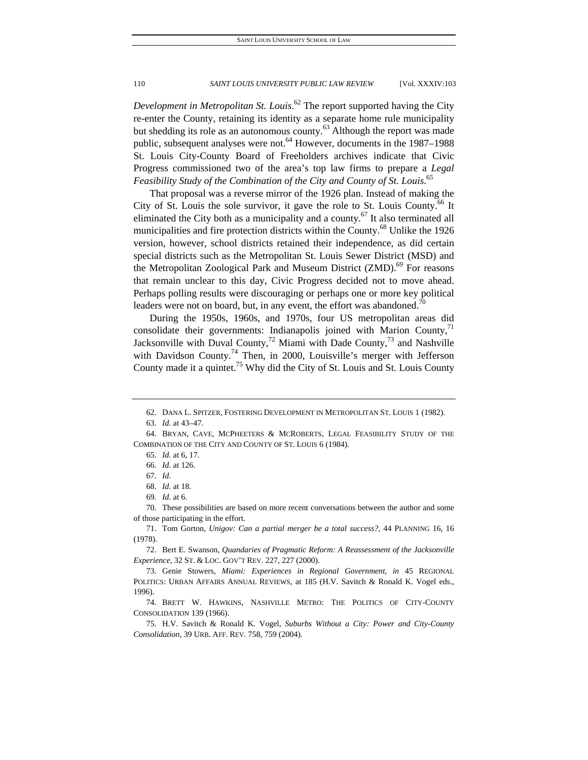*Development in Metropolitan St. Louis*. 62 The report supported having the City re-enter the County, retaining its identity as a separate home rule municipality but shedding its role as an autonomous county.<sup>63</sup> Although the report was made public, subsequent analyses were not.<sup>64</sup> However, documents in the  $1987-1988$ St. Louis City-County Board of Freeholders archives indicate that Civic Progress commissioned two of the area's top law firms to prepare a *Legal Feasibility Study of the Combination of the City and County of St. Louis*. 65

That proposal was a reverse mirror of the 1926 plan. Instead of making the City of St. Louis the sole survivor, it gave the role to St. Louis County.<sup>66</sup> It eliminated the City both as a municipality and a county.<sup>67</sup> It also terminated all municipalities and fire protection districts within the County.<sup>68</sup> Unlike the 1926 version, however, school districts retained their independence, as did certain special districts such as the Metropolitan St. Louis Sewer District (MSD) and the Metropolitan Zoological Park and Museum District (ZMD).<sup>69</sup> For reasons that remain unclear to this day, Civic Progress decided not to move ahead. Perhaps polling results were discouraging or perhaps one or more key political leaders were not on board, but, in any event, the effort was abandoned.<sup>70</sup>

During the 1950s, 1960s, and 1970s, four US metropolitan areas did consolidate their governments: Indianapolis joined with Marion County, $\frac{1}{1}$ Jacksonville with Duval County,<sup>72</sup> Miami with Dade County,<sup>73</sup> and Nashville with Davidson County.<sup>74</sup> Then, in 2000, Louisville's merger with Jefferson County made it a quintet.<sup>75</sup> Why did the City of St. Louis and St. Louis County

 70. These possibilities are based on more recent conversations between the author and some of those participating in the effort.

 71. Tom Gorton, *Unigov: Can a partial merger be a total success?*, 44 PLANNING 16, 16 (1978).

 72. Bert E. Swanson, *Quandaries of Pragmatic Reform: A Reassessment of the Jacksonville Experience*, 32 ST. & LOC. GOV'T REV. 227, 227 (2000).

 74. BRETT W. HAWKINS, NASHVILLE METRO: THE POLITICS OF CITY-COUNTY CONSOLIDATION 139 (1966).

 75. H.V. Savitch & Ronald K. Vogel, *Suburbs Without a City: Power and City-County Consolidation*, 39 URB. AFF. REV. 758, 759 (2004).

 <sup>62.</sup> DANA L. SPITZER, FOSTERING DEVELOPMENT IN METROPOLITAN ST. LOUIS 1 (1982).

 <sup>63.</sup> *Id.* at 43–47.

 <sup>64.</sup> BRYAN, CAVE, MCPHEETERS & MCROBERTS, LEGAL FEASIBILITY STUDY OF THE COMBINATION OF THE CITY AND COUNTY OF ST. LOUIS 6 (1984).

 <sup>65.</sup> *Id.* at 6, 17.

 <sup>66.</sup> *Id.* at 126.

 <sup>67.</sup> *Id.*

 <sup>68.</sup> *Id.* at 18.

 <sup>69.</sup> *Id.* at 6.

 <sup>73.</sup> Genie Stowers, *Miami: Experiences in Regional Government*, *in* 45 REGIONAL POLITICS: URBAN AFFAIRS ANNUAL REVIEWS, at 185 (H.V. Savitch & Ronald K. Vogel eds., 1996).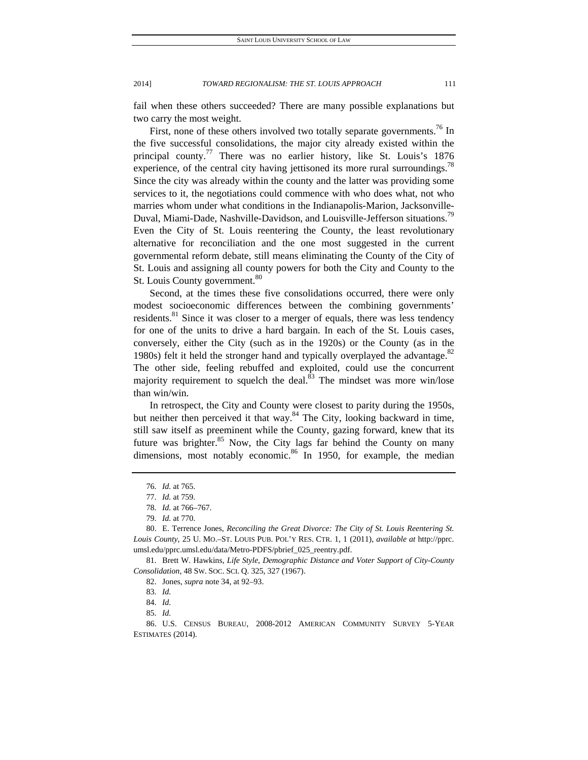fail when these others succeeded? There are many possible explanations but two carry the most weight.

First, none of these others involved two totally separate governments.<sup>76</sup> In the five successful consolidations, the major city already existed within the principal county.<sup>77</sup> There was no earlier history, like St. Louis's  $1876$ experience, of the central city having jettisoned its more rural surroundings.<sup>78</sup> Since the city was already within the county and the latter was providing some services to it, the negotiations could commence with who does what, not who marries whom under what conditions in the Indianapolis-Marion, Jacksonville-Duval, Miami-Dade, Nashville-Davidson, and Louisville-Jefferson situations.<sup>79</sup> Even the City of St. Louis reentering the County, the least revolutionary alternative for reconciliation and the one most suggested in the current governmental reform debate, still means eliminating the County of the City of St. Louis and assigning all county powers for both the City and County to the St. Louis County government.<sup>80</sup>

Second, at the times these five consolidations occurred, there were only modest socioeconomic differences between the combining governments' residents.<sup>81</sup> Since it was closer to a merger of equals, there was less tendency for one of the units to drive a hard bargain. In each of the St. Louis cases, conversely, either the City (such as in the 1920s) or the County (as in the 1980s) felt it held the stronger hand and typically overplayed the advantage. $82$ The other side, feeling rebuffed and exploited, could use the concurrent majority requirement to squelch the deal. $83$  The mindset was more win/lose than win/win.

In retrospect, the City and County were closest to parity during the 1950s, but neither then perceived it that way.<sup>84</sup> The City, looking backward in time, still saw itself as preeminent while the County, gazing forward, knew that its future was brighter.<sup>85</sup> Now, the City lags far behind the County on many dimensions, most notably economic.<sup>86</sup> In 1950, for example, the median

 <sup>76.</sup> *Id.* at 765.

 <sup>77.</sup> *Id.* at 759.

 <sup>78.</sup> *Id.* at 766–767.

 <sup>79.</sup> *Id.* at 770.

 <sup>80.</sup> E. Terrence Jones, *Reconciling the Great Divorce: The City of St. Louis Reentering St. Louis County*, 25 U. MO.–ST. LOUIS PUB. POL'Y RES. CTR. 1, 1 (2011), *available at* http://pprc. umsl.edu/pprc.umsl.edu/data/Metro-PDFS/pbrief\_025\_reentry.pdf.

 <sup>81.</sup> Brett W. Hawkins, *Life Style, Demographic Distance and Voter Support of City-County Consolidation*, 48 SW. SOC. SCI. Q. 325, 327 (1967).

 <sup>82.</sup> Jones, *supra* note 34, at 92–93.

 <sup>83.</sup> *Id.*

 <sup>84.</sup> *Id.*

 <sup>85.</sup> *Id.*

 <sup>86.</sup> U.S. CENSUS BUREAU, 2008-2012 AMERICAN COMMUNITY SURVEY 5-YEAR ESTIMATES (2014).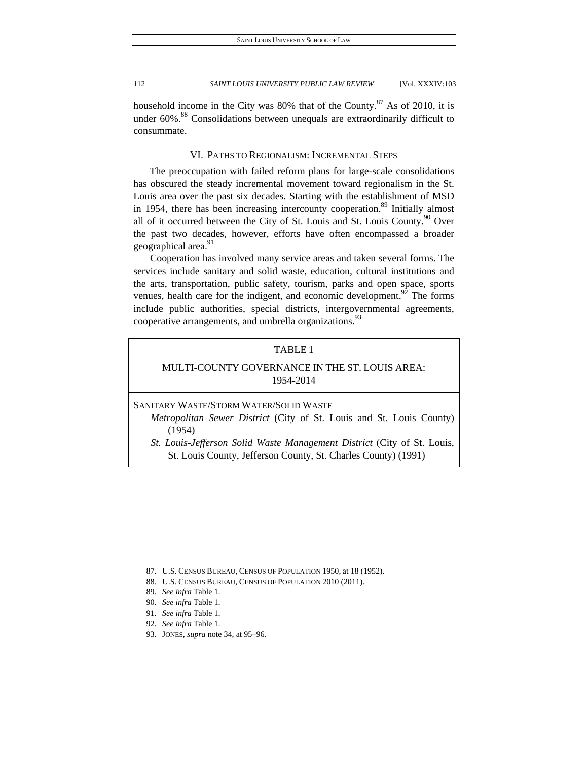household income in the City was  $80\%$  that of the County.<sup>87</sup> As of 2010, it is under  $60\%$ <sup>88</sup> Consolidations between unequals are extraordinarily difficult to consummate.

# VI. PATHS TO REGIONALISM: INCREMENTAL STEPS

The preoccupation with failed reform plans for large-scale consolidations has obscured the steady incremental movement toward regionalism in the St. Louis area over the past six decades. Starting with the establishment of MSD in 1954, there has been increasing intercounty cooperation.<sup>89</sup> Initially almost all of it occurred between the City of St. Louis and St. Louis County.<sup>90</sup> Over the past two decades, however, efforts have often encompassed a broader geographical area.<sup>91</sup>

Cooperation has involved many service areas and taken several forms. The services include sanitary and solid waste, education, cultural institutions and the arts, transportation, public safety, tourism, parks and open space, sports venues, health care for the indigent, and economic development. $92$  The forms include public authorities, special districts, intergovernmental agreements, cooperative arrangements, and umbrella organizations.<sup>93</sup>

# TABLE 1

# MULTI-COUNTY GOVERNANCE IN THE ST. LOUIS AREA: 1954-2014

# SANITARY WASTE/STORM WATER/SOLID WASTE

- *Metropolitan Sewer District* (City of St. Louis and St. Louis County) (1954)
- *St. Louis-Jefferson Solid Waste Management District* (City of St. Louis, St. Louis County, Jefferson County, St. Charles County) (1991)

- 92. *See infra* Table 1.
- 93. JONES, *supra* note 34, at 95–96.

 <sup>87.</sup> U.S. CENSUS BUREAU, CENSUS OF POPULATION 1950, at 18 (1952).

 <sup>88.</sup> U.S. CENSUS BUREAU, CENSUS OF POPULATION 2010 (2011).

 <sup>89.</sup> *See infra* Table 1.

 <sup>90.</sup> *See infra* Table 1.

 <sup>91.</sup> *See infra* Table 1.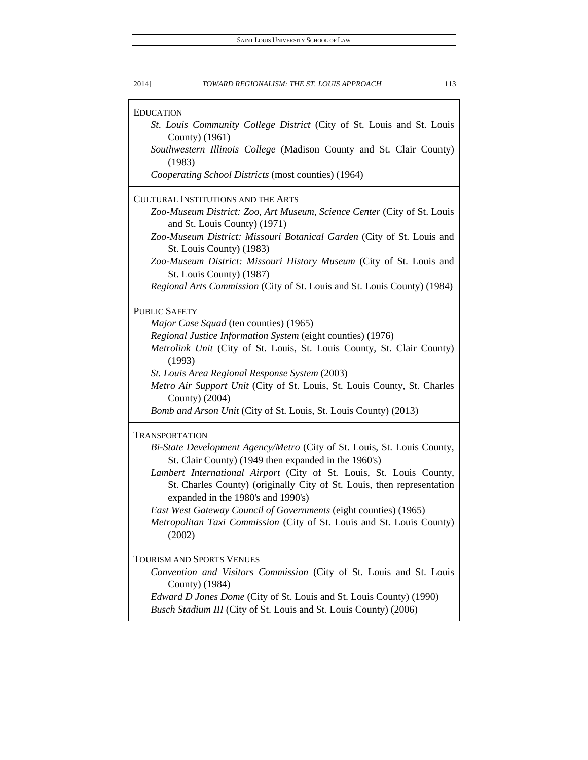| 2014]<br>TOWARD REGIONALISM: THE ST. LOUIS APPROACH                                                                                                                                 | 113 |
|-------------------------------------------------------------------------------------------------------------------------------------------------------------------------------------|-----|
| <b>EDUCATION</b><br>St. Louis Community College District (City of St. Louis and St. Louis                                                                                           |     |
| County) (1961)                                                                                                                                                                      |     |
| Southwestern Illinois College (Madison County and St. Clair County)<br>(1983)                                                                                                       |     |
| Cooperating School Districts (most counties) (1964)                                                                                                                                 |     |
| <b>CULTURAL INSTITUTIONS AND THE ARTS</b>                                                                                                                                           |     |
| Zoo-Museum District: Zoo, Art Museum, Science Center (City of St. Louis<br>and St. Louis County) (1971)                                                                             |     |
| Zoo-Museum District: Missouri Botanical Garden (City of St. Louis and                                                                                                               |     |
| St. Louis County) (1983)<br>Zoo-Museum District: Missouri History Museum (City of St. Louis and                                                                                     |     |
| St. Louis County) (1987)<br>Regional Arts Commission (City of St. Louis and St. Louis County) (1984)                                                                                |     |
| <b>PUBLIC SAFETY</b>                                                                                                                                                                |     |
| Major Case Squad (ten counties) (1965)                                                                                                                                              |     |
| Regional Justice Information System (eight counties) (1976)                                                                                                                         |     |
| Metrolink Unit (City of St. Louis, St. Louis County, St. Clair County)<br>(1993)                                                                                                    |     |
| St. Louis Area Regional Response System (2003)                                                                                                                                      |     |
| Metro Air Support Unit (City of St. Louis, St. Louis County, St. Charles<br>County) (2004)                                                                                          |     |
| Bomb and Arson Unit (City of St. Louis, St. Louis County) (2013)                                                                                                                    |     |
| <b>TRANSPORTATION</b>                                                                                                                                                               |     |
| Bi-State Development Agency/Metro (City of St. Louis, St. Louis County,                                                                                                             |     |
| St. Clair County) (1949 then expanded in the 1960's)                                                                                                                                |     |
| Lambert International Airport (City of St. Louis, St. Louis County,<br>St. Charles County) (originally City of St. Louis, then representation<br>expanded in the 1980's and 1990's) |     |
| East West Gateway Council of Governments (eight counties) (1965)                                                                                                                    |     |
| Metropolitan Taxi Commission (City of St. Louis and St. Louis County)<br>(2002)                                                                                                     |     |
| TOURISM AND SPORTS VENUES                                                                                                                                                           |     |
| Convention and Visitors Commission (City of St. Louis and St. Louis<br>County) (1984)                                                                                               |     |
| Edward D Jones Dome (City of St. Louis and St. Louis County) (1990)                                                                                                                 |     |

*Busch Stadium III* (City of St. Louis and St. Louis County) (2006)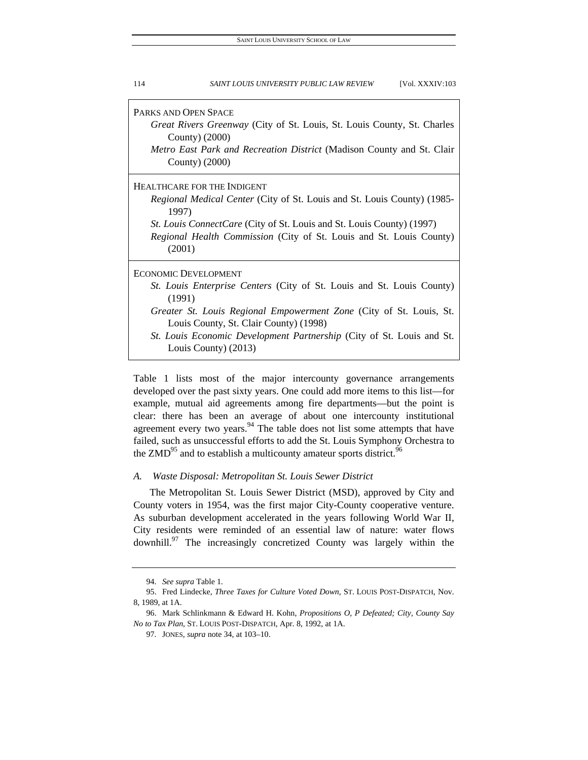| PARKS AND OPEN SPACE<br>Great Rivers Greenway (City of St. Louis, St. Louis County, St. Charles                                                               |
|---------------------------------------------------------------------------------------------------------------------------------------------------------------|
| County) (2000)                                                                                                                                                |
| Metro East Park and Recreation District (Madison County and St. Clair                                                                                         |
| County) (2000)                                                                                                                                                |
| HEALTHCARE FOR THE INDIGENT                                                                                                                                   |
| <i>Regional Medical Center</i> (City of St. Louis and St. Louis County) (1985-<br>1997)                                                                       |
| <i>St. Louis ConnectCare</i> (City of St. Louis and St. Louis County) (1997)<br>Regional Health Commission (City of St. Louis and St. Louis County)<br>(2001) |
| <b>ECONOMIC DEVELOPMENT</b>                                                                                                                                   |
| <i>St. Louis Enterprise Centers (City of St. Louis and St. Louis County)</i><br>(1991)                                                                        |
| Greater St. Louis Regional Empowerment Zone (City of St. Louis, St.                                                                                           |
| Louis County, St. Clair County) (1998)<br>St. Louis Economic Development Partnership (City of St. Louis and St.                                               |
| Louis County) (2013)                                                                                                                                          |

Table 1 lists most of the major intercounty governance arrangements developed over the past sixty years. One could add more items to this list—for example, mutual aid agreements among fire departments—but the point is clear: there has been an average of about one intercounty institutional agreement every two years. $94$  The table does not list some attempts that have failed, such as unsuccessful efforts to add the St. Louis Symphony Orchestra to the  $ZMD<sup>95</sup>$  and to establish a multicounty amateur sports district.<sup>96</sup>

## *A. Waste Disposal: Metropolitan St. Louis Sewer District*

The Metropolitan St. Louis Sewer District (MSD), approved by City and County voters in 1954, was the first major City-County cooperative venture. As suburban development accelerated in the years following World War II, City residents were reminded of an essential law of nature: water flows downhill.<sup>97</sup> The increasingly concretized County was largely within the

 <sup>94.</sup> *See supra* Table 1.

 <sup>95.</sup> Fred Lindecke, *Three Taxes for Culture Voted Down*, ST. LOUIS POST-DISPATCH, Nov. 8, 1989, at 1A.

 <sup>96.</sup> Mark Schlinkmann & Edward H. Kohn, *Propositions O, P Defeated; City, County Say No to Tax Plan*, ST. LOUIS POST-DISPATCH, Apr. 8, 1992, at 1A.

 <sup>97.</sup> JONES, *supra* note 34, at 103–10.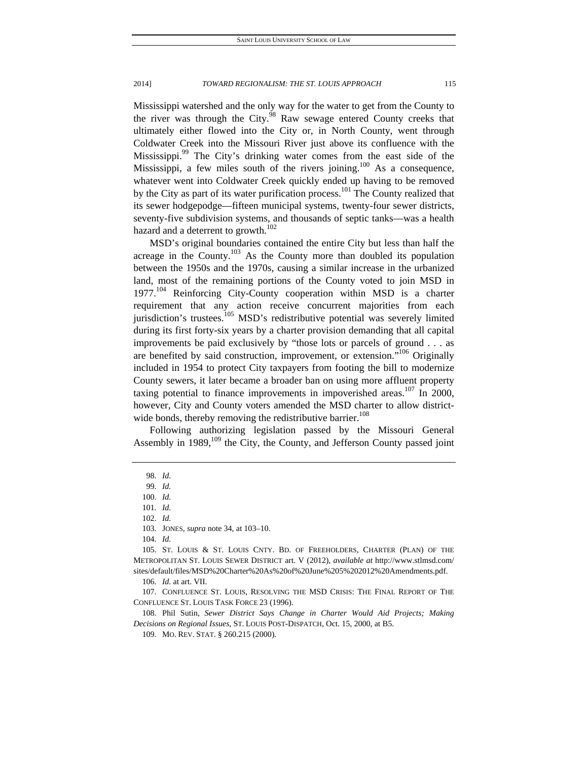Mississippi watershed and the only way for the water to get from the County to the river was through the City. $98$  Raw sewage entered County creeks that ultimately either flowed into the City or, in North County, went through Coldwater Creek into the Missouri River just above its confluence with the Mississippi.<sup>99</sup> The City's drinking water comes from the east side of the Mississippi, a few miles south of the rivers joining.<sup>100</sup> As a consequence, whatever went into Coldwater Creek quickly ended up having to be removed by the City as part of its water purification process.<sup>101</sup> The County realized that its sewer hodgepodge—fifteen municipal systems, twenty-four sewer districts, seventy-five subdivision systems, and thousands of septic tanks—was a health hazard and a deterrent to growth.<sup>102</sup>

MSD's original boundaries contained the entire City but less than half the acreage in the County.<sup>103</sup> As the County more than doubled its population between the 1950s and the 1970s, causing a similar increase in the urbanized land, most of the remaining portions of the County voted to join MSD in  $1977$ <sup> $104$ </sup> Reinforcing City-County cooperation within MSD is a charter requirement that any action receive concurrent majorities from each jurisdiction's trustees.<sup>105</sup> MSD's redistributive potential was severely limited during its first forty-six years by a charter provision demanding that all capital improvements be paid exclusively by "those lots or parcels of ground . . . as are benefited by said construction, improvement, or extension."<sup>106</sup> Originally included in 1954 to protect City taxpayers from footing the bill to modernize County sewers, it later became a broader ban on using more affluent property taxing potential to finance improvements in impoverished areas.<sup>107</sup> In 2000, however, City and County voters amended the MSD charter to allow districtwide bonds, thereby removing the redistributive barrier.<sup>108</sup>

Following authorizing legislation passed by the Missouri General Assembly in  $1989$ ,  $^{109}$  the City, the County, and Jefferson County passed joint

 108. Phil Sutin, *Sewer District Says Change in Charter Would Aid Projects; Making Decisions on Regional Issues*, ST. LOUIS POST-DISPATCH, Oct. 15, 2000, at B5.

 <sup>98.</sup> *Id.*

 <sup>99.</sup> *Id.*

 <sup>100.</sup> *Id.*

 <sup>101.</sup> *Id.*

 <sup>102.</sup> *Id.*

 <sup>103.</sup> JONES, *supra* note 34, at 103–10.

 <sup>104.</sup> *Id.*

 <sup>105.</sup> ST. LOUIS & ST. LOUIS CNTY. BD. OF FREEHOLDERS, CHARTER (PLAN) OF THE METROPOLITAN ST. LOUIS SEWER DISTRICT art. V (2012), *available at* http://www.stlmsd.com/ sites/default/files/MSD%20Charter%20As%20of%20June%205%202012%20Amendments.pdf.

 <sup>106.</sup> *Id.* at art. VII.

 <sup>107.</sup> CONFLUENCE ST. LOUIS, RESOLVING THE MSD CRISIS: THE FINAL REPORT OF THE CONFLUENCE ST. LOUIS TASK FORCE 23 (1996).

 <sup>109.</sup> MO. REV. STAT. § 260.215 (2000).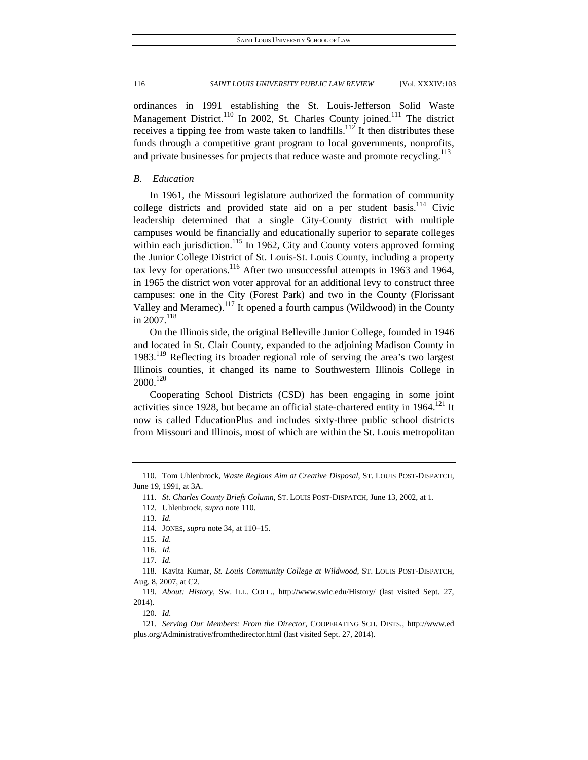ordinances in 1991 establishing the St. Louis-Jefferson Solid Waste Management District.<sup>110</sup> In 2002, St. Charles County joined.<sup>111</sup> The district receives a tipping fee from waste taken to landfills.<sup>112</sup> It then distributes these funds through a competitive grant program to local governments, nonprofits, and private businesses for projects that reduce waste and promote recycling.<sup>113</sup>

# *B. Education*

In 1961, the Missouri legislature authorized the formation of community college districts and provided state aid on a per student basis.<sup>114</sup> Civic leadership determined that a single City-County district with multiple campuses would be financially and educationally superior to separate colleges within each jurisdiction.<sup>115</sup> In 1962, City and County voters approved forming the Junior College District of St. Louis-St. Louis County, including a property tax levy for operations.<sup>116</sup> After two unsuccessful attempts in 1963 and 1964, in 1965 the district won voter approval for an additional levy to construct three campuses: one in the City (Forest Park) and two in the County (Florissant Valley and Meramec).<sup>117</sup> It opened a fourth campus (Wildwood) in the County in 2007.<sup>118</sup>

On the Illinois side, the original Belleville Junior College, founded in 1946 and located in St. Clair County, expanded to the adjoining Madison County in 1983.<sup>119</sup> Reflecting its broader regional role of serving the area's two largest Illinois counties, it changed its name to Southwestern Illinois College in  $2000^{120}$ 

Cooperating School Districts (CSD) has been engaging in some joint activities since 1928, but became an official state-chartered entity in  $1964$ <sup> $121$ </sup> It now is called EducationPlus and includes sixty-three public school districts from Missouri and Illinois, most of which are within the St. Louis metropolitan

 <sup>110.</sup> Tom Uhlenbrock, *Waste Regions Aim at Creative Disposal*, ST. LOUIS POST-DISPATCH, June 19, 1991, at 3A.

 <sup>111.</sup> *St. Charles County Briefs Column*, ST. LOUIS POST-DISPATCH, June 13, 2002, at 1.

 <sup>112.</sup> Uhlenbrock, *supra* note 110.

 <sup>113.</sup> *Id.*

 <sup>114.</sup> JONES, *supra* note 34, at 110–15.

 <sup>115.</sup> *Id.*

 <sup>116.</sup> *Id.*

 <sup>117.</sup> *Id.*

 <sup>118.</sup> Kavita Kumar, *St. Louis Community College at Wildwood*, ST. LOUIS POST-DISPATCH, Aug. 8, 2007, at C2.

 <sup>119.</sup> *About: History*, SW. ILL. COLL., http://www.swic.edu/History/ (last visited Sept. 27, 2014).

 <sup>120.</sup> *Id.*

 <sup>121.</sup> *Serving Our Members: From the Director*, COOPERATING SCH. DISTS., http://www.ed plus.org/Administrative/fromthedirector.html (last visited Sept. 27, 2014).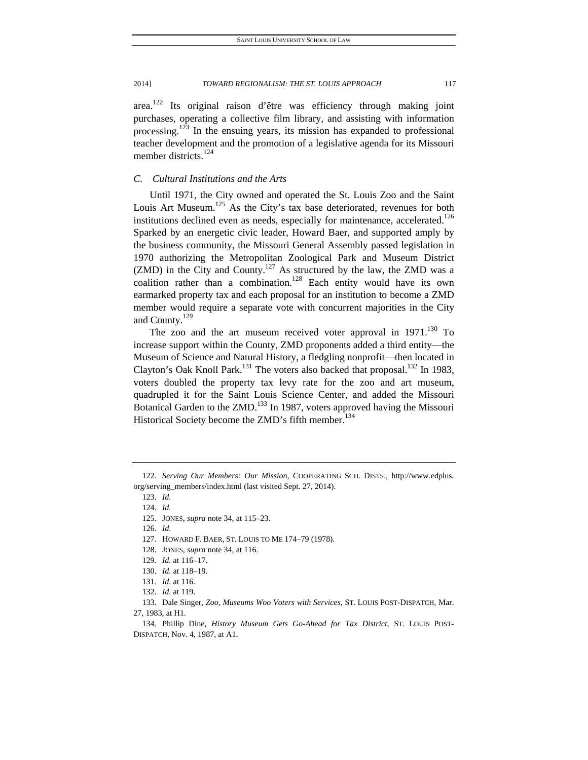area.<sup>122</sup> Its original raison d'être was efficiency through making joint purchases, operating a collective film library, and assisting with information processing.123 In the ensuing years, its mission has expanded to professional teacher development and the promotion of a legislative agenda for its Missouri member districts.<sup>124</sup>

# *C. Cultural Institutions and the Arts*

Until 1971, the City owned and operated the St. Louis Zoo and the Saint Louis Art Museum.<sup>125</sup> As the City's tax base deteriorated, revenues for both institutions declined even as needs, especially for maintenance, accelerated.<sup>126</sup> Sparked by an energetic civic leader, Howard Baer, and supported amply by the business community, the Missouri General Assembly passed legislation in 1970 authorizing the Metropolitan Zoological Park and Museum District (ZMD) in the City and County.<sup>127</sup> As structured by the law, the ZMD was a coalition rather than a combination.<sup>128</sup> Each entity would have its own earmarked property tax and each proposal for an institution to become a ZMD member would require a separate vote with concurrent majorities in the City and County.<sup>129</sup>

The zoo and the art museum received voter approval in  $1971$ .<sup>130</sup> To increase support within the County, ZMD proponents added a third entity—the Museum of Science and Natural History, a fledgling nonprofit—then located in Clayton's Oak Knoll Park.<sup>131</sup> The voters also backed that proposal.<sup>132</sup> In 1983, voters doubled the property tax levy rate for the zoo and art museum, quadrupled it for the Saint Louis Science Center, and added the Missouri Botanical Garden to the ZMD.<sup>133</sup> In 1987, voters approved having the Missouri Historical Society become the ZMD's fifth member.<sup>134</sup>

128. JONES, *supra* note 34, at 116.

 <sup>122.</sup> *Serving Our Members: Our Mission*, COOPERATING SCH. DISTS., http://www.edplus. org/serving\_members/index.html (last visited Sept. 27, 2014).

 <sup>123.</sup> *Id.*

 <sup>124.</sup> *Id.*

 <sup>125.</sup> JONES, *supra* note 34, at 115–23.

 <sup>126.</sup> *Id.*

 <sup>127.</sup> HOWARD F. BAER, ST. LOUIS TO ME 174–79 (1978).

 <sup>129.</sup> *Id.* at 116–17.

 <sup>130.</sup> *Id.* at 118–19.

 <sup>131.</sup> *Id.* at 116.

 <sup>132.</sup> *Id.* at 119.

 <sup>133.</sup> Dale Singer, *Zoo, Museums Woo Voters with Services*, ST. LOUIS POST-DISPATCH, Mar. 27, 1983, at H1.

 <sup>134.</sup> Phillip Dine, *History Museum Gets Go-Ahead for Tax District*, ST. LOUIS POST-DISPATCH, Nov. 4, 1987, at A1.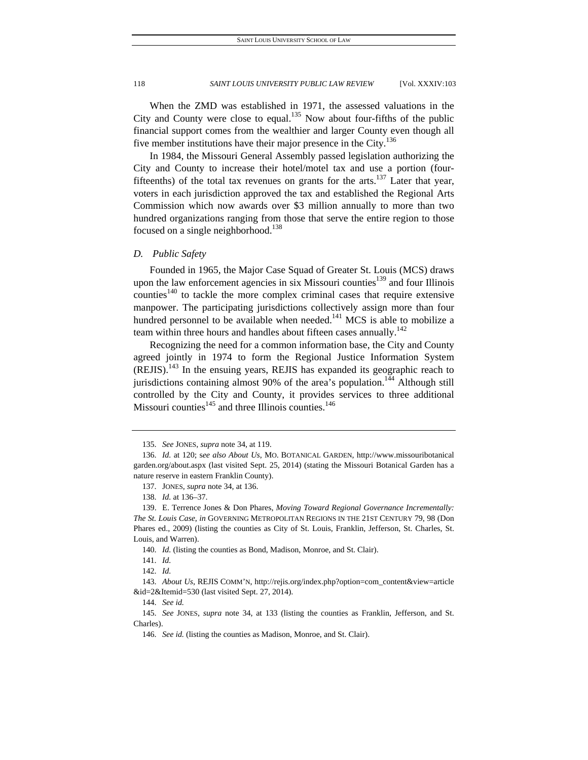When the ZMD was established in 1971, the assessed valuations in the City and County were close to equal.<sup>135</sup> Now about four-fifths of the public financial support comes from the wealthier and larger County even though all five member institutions have their major presence in the City.<sup>136</sup>

In 1984, the Missouri General Assembly passed legislation authorizing the City and County to increase their hotel/motel tax and use a portion (fourfifteenths) of the total tax revenues on grants for the arts.<sup>137</sup> Later that year, voters in each jurisdiction approved the tax and established the Regional Arts Commission which now awards over \$3 million annually to more than two hundred organizations ranging from those that serve the entire region to those focused on a single neighborhood.<sup>138</sup>

# *D. Public Safety*

Founded in 1965, the Major Case Squad of Greater St. Louis (MCS) draws upon the law enforcement agencies in six Missouri counties<sup>139</sup> and four Illinois counties<sup>140</sup> to tackle the more complex criminal cases that require extensive manpower. The participating jurisdictions collectively assign more than four hundred personnel to be available when needed.<sup>141</sup> MCS is able to mobilize a team within three hours and handles about fifteen cases annually.<sup>142</sup>

Recognizing the need for a common information base, the City and County agreed jointly in 1974 to form the Regional Justice Information System  $(REJIS).<sup>143</sup>$  In the ensuing years, REJIS has expanded its geographic reach to jurisdictions containing almost  $90\%$  of the area's population.<sup>144</sup> Although still controlled by the City and County, it provides services to three additional Missouri counties $145$  and three Illinois counties.<sup>146</sup>

141. *Id.*

142. *Id.*

144. *See id.*

 <sup>135.</sup> *See* JONES, *supra* note 34, at 119.

 <sup>136.</sup> *Id.* at 120; s*ee also About Us*, MO. BOTANICAL GARDEN, http://www.missouribotanical garden.org/about.aspx (last visited Sept. 25, 2014) (stating the Missouri Botanical Garden has a nature reserve in eastern Franklin County).

 <sup>137.</sup> JONES, *supra* note 34, at 136.

 <sup>138.</sup> *Id.* at 136–37.

 <sup>139.</sup> E. Terrence Jones & Don Phares, *Moving Toward Regional Governance Incrementally: The St. Louis Case*, *in* GOVERNING METROPOLITAN REGIONS IN THE 21ST CENTURY 79, 98 (Don Phares ed., 2009) (listing the counties as City of St. Louis, Franklin, Jefferson, St. Charles, St. Louis, and Warren).

<sup>140.</sup> *Id.* (listing the counties as Bond, Madison, Monroe, and St. Clair).

 <sup>143.</sup> *About Us*, REJIS COMM'N, http://rejis.org/index.php?option=com\_content&view=article &id=2&Itemid=530 (last visited Sept. 27, 2014).

 <sup>145.</sup> *See* JONES, *supra* note 34, at 133 (listing the counties as Franklin, Jefferson, and St. Charles).

 <sup>146.</sup> *See id.* (listing the counties as Madison, Monroe, and St. Clair).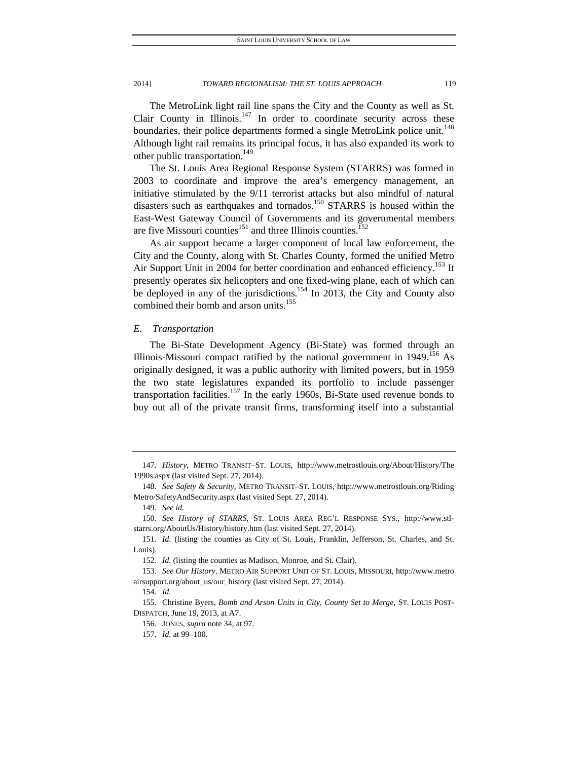The MetroLink light rail line spans the City and the County as well as St. Clair County in Illinois.<sup>147</sup> In order to coordinate security across these boundaries, their police departments formed a single MetroLink police unit.<sup>148</sup> Although light rail remains its principal focus, it has also expanded its work to other public transportation.<sup>149</sup>

The St. Louis Area Regional Response System (STARRS) was formed in 2003 to coordinate and improve the area's emergency management, an initiative stimulated by the 9/11 terrorist attacks but also mindful of natural disasters such as earthquakes and tornados.<sup>150</sup> STARRS is housed within the East-West Gateway Council of Governments and its governmental members are five Missouri counties<sup>151</sup> and three Illinois counties.<sup>152</sup>

As air support became a larger component of local law enforcement, the City and the County, along with St. Charles County, formed the unified Metro Air Support Unit in 2004 for better coordination and enhanced efficiency.<sup>153</sup> It presently operates six helicopters and one fixed-wing plane, each of which can be deployed in any of the jurisdictions.<sup>154</sup> In 2013, the City and County also combined their bomb and arson units.<sup>155</sup>

# *E. Transportation*

The Bi-State Development Agency (Bi-State) was formed through an Illinois-Missouri compact ratified by the national government in  $1949$ <sup>156</sup> As originally designed, it was a public authority with limited powers, but in 1959 the two state legislatures expanded its portfolio to include passenger transportation facilities.<sup>157</sup> In the early 1960s, Bi-State used revenue bonds to buy out all of the private transit firms, transforming itself into a substantial

 <sup>147.</sup> *History*, METRO TRANSIT–ST. LOUIS, http://www.metrostlouis.org/About/History/The 1990s.aspx (last visited Sept. 27, 2014).

 <sup>148.</sup> *See Safety & Security*, METRO TRANSIT–ST. LOUIS, http://www.metrostlouis.org/Riding Metro/SafetyAndSecurity.aspx (last visited Sept. 27, 2014).

 <sup>149.</sup> *See id.*

 <sup>150.</sup> *See History of STARRS*, ST. LOUIS AREA REG'L RESPONSE SYS., http://www.stlstarrs.org/AboutUs/History/history.htm (last visited Sept. 27, 2014).

 <sup>151.</sup> *Id.* (listing the counties as City of St. Louis, Franklin, Jefferson, St. Charles, and St. Louis).

 <sup>152.</sup> *Id.* (listing the counties as Madison, Monroe, and St. Clair).

 <sup>153.</sup> *See Our History*, METRO AIR SUPPORT UNIT OF ST. LOUIS, MISSOURI, http://www.metro airsupport.org/about\_us/our\_history (last visited Sept. 27, 2014).

 <sup>154.</sup> *Id.*

 <sup>155.</sup> Christine Byers, *Bomb and Arson Units in City, County Set to Merge*, ST. LOUIS POST-DISPATCH, June 19, 2013, at A7.

 <sup>156.</sup> JONES, *supra* note 34, at 97.

 <sup>157.</sup> *Id.* at 99–100.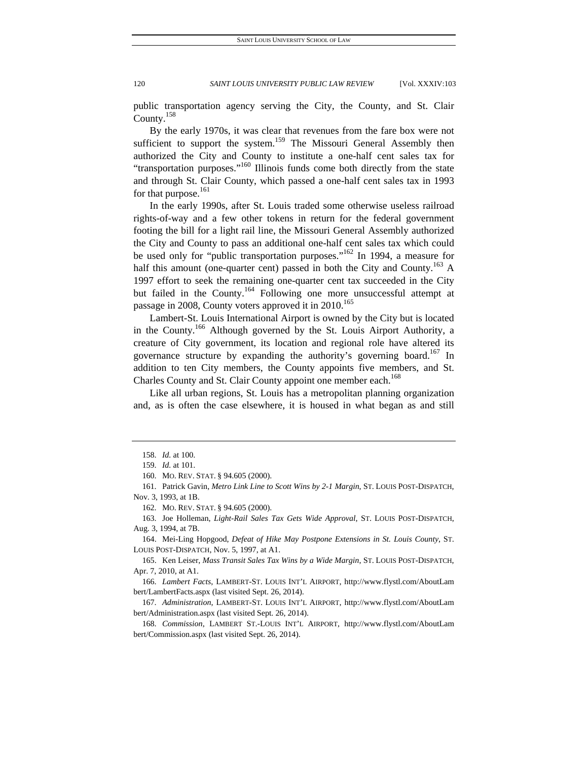public transportation agency serving the City, the County, and St. Clair County.158

By the early 1970s, it was clear that revenues from the fare box were not sufficient to support the system.<sup>159</sup> The Missouri General Assembly then authorized the City and County to institute a one-half cent sales tax for "transportation purposes."<sup>160</sup> Illinois funds come both directly from the state and through St. Clair County, which passed a one-half cent sales tax in 1993 for that purpose.<sup>161</sup>

In the early 1990s, after St. Louis traded some otherwise useless railroad rights-of-way and a few other tokens in return for the federal government footing the bill for a light rail line, the Missouri General Assembly authorized the City and County to pass an additional one-half cent sales tax which could be used only for "public transportation purposes."<sup>162</sup> In 1994, a measure for half this amount (one-quarter cent) passed in both the City and County.<sup>163</sup> A 1997 effort to seek the remaining one-quarter cent tax succeeded in the City but failed in the County.<sup>164</sup> Following one more unsuccessful attempt at passage in 2008, County voters approved it in  $2010^{165}$ 

Lambert-St. Louis International Airport is owned by the City but is located in the County.<sup>166</sup> Although governed by the St. Louis Airport Authority, a creature of City government, its location and regional role have altered its governance structure by expanding the authority's governing board.<sup>167</sup> In addition to ten City members, the County appoints five members, and St. Charles County and St. Clair County appoint one member each.<sup>168</sup>

Like all urban regions, St. Louis has a metropolitan planning organization and, as is often the case elsewhere, it is housed in what began as and still

 <sup>158.</sup> *Id.* at 100.

 <sup>159.</sup> *Id.* at 101.

 <sup>160.</sup> MO. REV. STAT. § 94.605 (2000).

 <sup>161.</sup> Patrick Gavin, *Metro Link Line to Scott Wins by 2-1 Margin*, ST. LOUIS POST-DISPATCH, Nov. 3, 1993, at 1B.

 <sup>162.</sup> MO. REV. STAT. § 94.605 (2000).

 <sup>163.</sup> Joe Holleman, *Light-Rail Sales Tax Gets Wide Approval*, ST. LOUIS POST-DISPATCH, Aug. 3, 1994, at 7B.

 <sup>164.</sup> Mei-Ling Hopgood, *Defeat of Hike May Postpone Extensions in St. Louis County*, ST. LOUIS POST-DISPATCH, Nov. 5, 1997, at A1.

 <sup>165.</sup> Ken Leiser, *Mass Transit Sales Tax Wins by a Wide Margin*, ST. LOUIS POST-DISPATCH, Apr. 7, 2010, at A1.

 <sup>166.</sup> *Lambert Facts*, LAMBERT-ST. LOUIS INT'L AIRPORT, http://www.flystl.com/AboutLam bert/LambertFacts.aspx (last visited Sept. 26, 2014).

 <sup>167.</sup> *Administration*, LAMBERT-ST. LOUIS INT'L AIRPORT, http://www.flystl.com/AboutLam bert/Administration.aspx (last visited Sept. 26, 2014).

 <sup>168.</sup> *Commission*, LAMBERT ST.-LOUIS INT'L AIRPORT, http://www.flystl.com/AboutLam bert/Commission.aspx (last visited Sept. 26, 2014).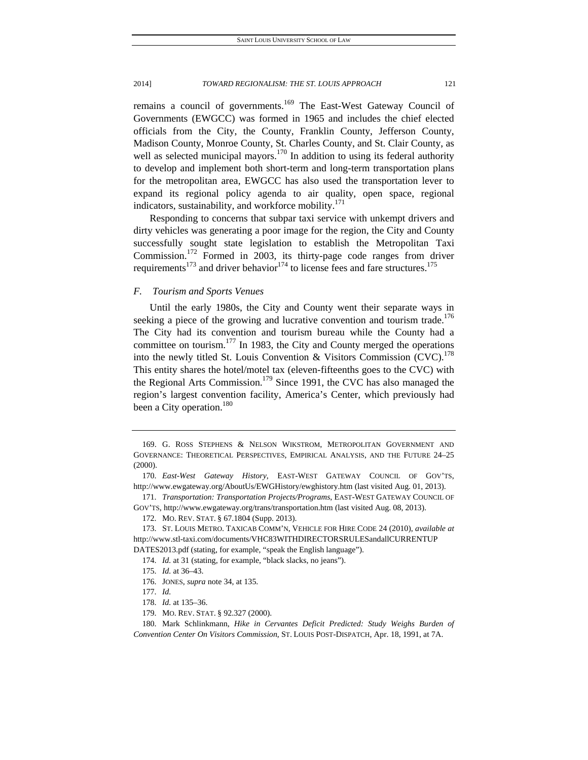remains a council of governments.<sup>169</sup> The East-West Gateway Council of Governments (EWGCC) was formed in 1965 and includes the chief elected officials from the City, the County, Franklin County, Jefferson County, Madison County, Monroe County, St. Charles County, and St. Clair County, as well as selected municipal mayors.<sup>170</sup> In addition to using its federal authority to develop and implement both short-term and long-term transportation plans for the metropolitan area, EWGCC has also used the transportation lever to expand its regional policy agenda to air quality, open space, regional indicators, sustainability, and workforce mobility.<sup>171</sup>

Responding to concerns that subpar taxi service with unkempt drivers and dirty vehicles was generating a poor image for the region, the City and County successfully sought state legislation to establish the Metropolitan Taxi Commission.<sup>172</sup> Formed in 2003, its thirty-page code ranges from driver requirements<sup>173</sup> and driver behavior<sup>174</sup> to license fees and fare structures.<sup>175</sup>

# *F. Tourism and Sports Venues*

Until the early 1980s, the City and County went their separate ways in seeking a piece of the growing and lucrative convention and tourism trade.<sup>176</sup> The City had its convention and tourism bureau while the County had a committee on tourism. $177$  In 1983, the City and County merged the operations into the newly titled St. Louis Convention & Visitors Commission (CVC).<sup>178</sup> This entity shares the hotel/motel tax (eleven-fifteenths goes to the CVC) with the Regional Arts Commission.<sup>179</sup> Since 1991, the CVC has also managed the region's largest convention facility, America's Center, which previously had been a City operation.<sup>180</sup>

 171. *Transportation: Transportation Projects/Programs*, EAST-WEST GATEWAY COUNCIL OF GOV'TS, http://www.ewgateway.org/trans/transportation.htm (last visited Aug. 08, 2013).

- 
- 176. JONES, *supra* note 34, at 135. 177. *Id.*

 <sup>169.</sup> G. ROSS STEPHENS & NELSON WIKSTROM, METROPOLITAN GOVERNMENT AND GOVERNANCE: THEORETICAL PERSPECTIVES, EMPIRICAL ANALYSIS, AND THE FUTURE 24–25 (2000).

 <sup>170.</sup> *East-West Gateway History*, EAST-WEST GATEWAY COUNCIL OF GOV'TS, http://www.ewgateway.org/AboutUs/EWGHistory/ewghistory.htm (last visited Aug. 01, 2013).

 <sup>172.</sup> MO. REV. STAT. § 67.1804 (Supp. 2013).

 <sup>173.</sup> ST. LOUIS METRO. TAXICAB COMM'N, VEHICLE FOR HIRE CODE 24 (2010), *available at* http://www.stl-taxi.com/documents/VHC83WITHDIRECTORSRULESandallCURRENTUP

DATES2013.pdf (stating, for example, "speak the English language"). 174. *Id.* at 31 (stating, for example, "black slacks, no jeans").

 <sup>175.</sup> *Id.* at 36–43.

 <sup>178.</sup> *Id.* at 135–36.

 <sup>179.</sup> MO. REV. STAT. § 92.327 (2000).

 <sup>180.</sup> Mark Schlinkmann, *Hike in Cervantes Deficit Predicted: Study Weighs Burden of Convention Center On Visitors Commission*, ST. LOUIS POST-DISPATCH, Apr. 18, 1991, at 7A.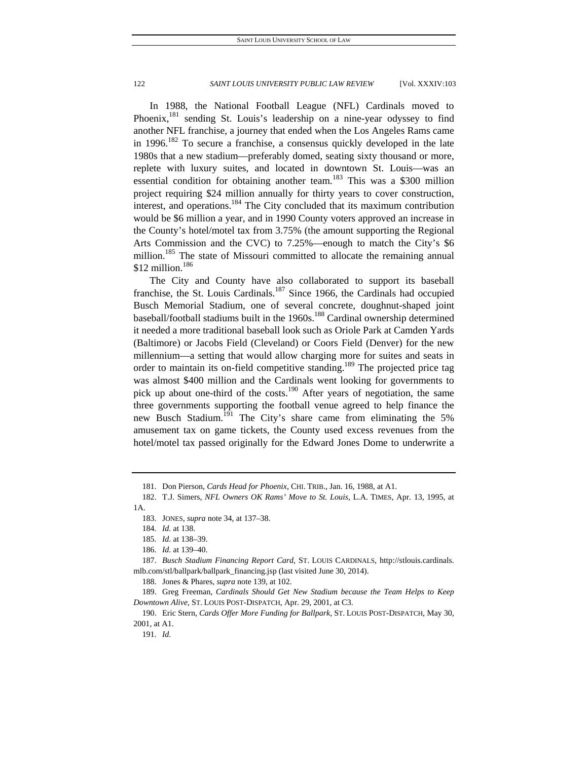In 1988, the National Football League (NFL) Cardinals moved to Phoenix,  $^{181}$  sending St. Louis's leadership on a nine-year odyssey to find another NFL franchise, a journey that ended when the Los Angeles Rams came in  $1996$ .<sup>182</sup> To secure a franchise, a consensus quickly developed in the late 1980s that a new stadium—preferably domed, seating sixty thousand or more, replete with luxury suites, and located in downtown St. Louis—was an essential condition for obtaining another team.<sup>183</sup> This was a \$300 million project requiring \$24 million annually for thirty years to cover construction, interest, and operations.<sup>184</sup> The City concluded that its maximum contribution would be \$6 million a year, and in 1990 County voters approved an increase in the County's hotel/motel tax from 3.75% (the amount supporting the Regional Arts Commission and the CVC) to 7.25%—enough to match the City's \$6 million.<sup>185</sup> The state of Missouri committed to allocate the remaining annual  $$12$  million.<sup>186</sup>

The City and County have also collaborated to support its baseball franchise, the St. Louis Cardinals.<sup>187</sup> Since 1966, the Cardinals had occupied Busch Memorial Stadium, one of several concrete, doughnut-shaped joint baseball/football stadiums built in the 1960s.<sup>188</sup> Cardinal ownership determined it needed a more traditional baseball look such as Oriole Park at Camden Yards (Baltimore) or Jacobs Field (Cleveland) or Coors Field (Denver) for the new millennium—a setting that would allow charging more for suites and seats in order to maintain its on-field competitive standing.<sup>189</sup> The projected price tag was almost \$400 million and the Cardinals went looking for governments to pick up about one-third of the costs.<sup>190</sup> After years of negotiation, the same three governments supporting the football venue agreed to help finance the new Busch Stadium.<sup>191</sup> The City's share came from eliminating the 5% amusement tax on game tickets, the County used excess revenues from the hotel/motel tax passed originally for the Edward Jones Dome to underwrite a

 <sup>181.</sup> Don Pierson, *Cards Head for Phoenix*, CHI. TRIB., Jan. 16, 1988, at A1.

 <sup>182.</sup> T.J. Simers, *NFL Owners OK Rams' Move to St. Louis*, L.A. TIMES, Apr. 13, 1995, at 1A.

 <sup>183.</sup> JONES, *supra* note 34, at 137–38.

 <sup>184.</sup> *Id.* at 138.

 <sup>185.</sup> *Id.* at 138–39.

 <sup>186.</sup> *Id.* at 139–40.

 <sup>187.</sup> *Busch Stadium Financing Report Card*, ST. LOUIS CARDINALS, http://stlouis.cardinals. mlb.com/stl/ballpark/ballpark\_financing.jsp (last visited June 30, 2014).

 <sup>188.</sup> Jones & Phares, *supra* note 139, at 102.

 <sup>189.</sup> Greg Freeman, *Cardinals Should Get New Stadium because the Team Helps to Keep Downtown Alive,* ST. LOUIS POST-DISPATCH, Apr. 29, 2001, at C3.

 <sup>190.</sup> Eric Stern, *Cards Offer More Funding for Ballpark*, ST. LOUIS POST-DISPATCH, May 30, 2001, at A1.

 <sup>191.</sup> *Id.*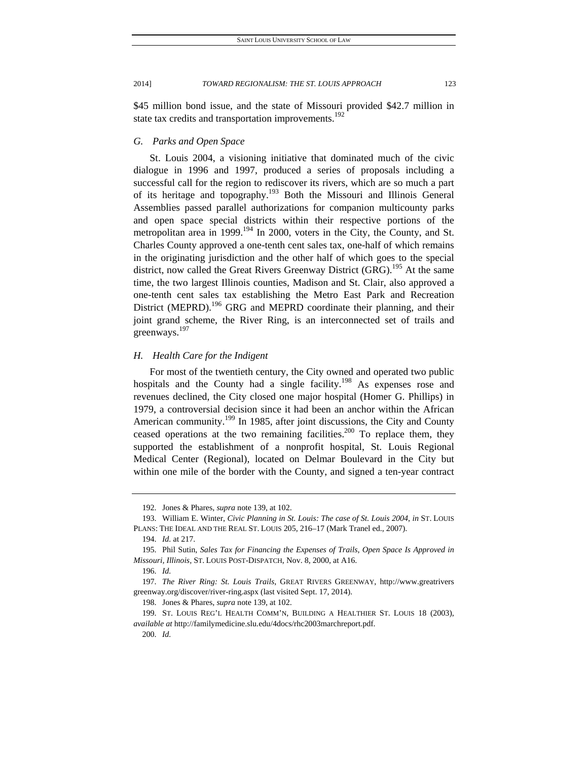\$45 million bond issue, and the state of Missouri provided \$42.7 million in state tax credits and transportation improvements.<sup>192</sup>

# *G. Parks and Open Space*

St. Louis 2004, a visioning initiative that dominated much of the civic dialogue in 1996 and 1997, produced a series of proposals including a successful call for the region to rediscover its rivers, which are so much a part of its heritage and topography.<sup>193</sup> Both the Missouri and Illinois General Assemblies passed parallel authorizations for companion multicounty parks and open space special districts within their respective portions of the metropolitan area in 1999.<sup>194</sup> In 2000, voters in the City, the County, and St. Charles County approved a one-tenth cent sales tax, one-half of which remains in the originating jurisdiction and the other half of which goes to the special district, now called the Great Rivers Greenway District  $(GRG)$ .<sup>195</sup> At the same time, the two largest Illinois counties, Madison and St. Clair, also approved a one-tenth cent sales tax establishing the Metro East Park and Recreation District (MEPRD).<sup>196</sup> GRG and MEPRD coordinate their planning, and their joint grand scheme, the River Ring, is an interconnected set of trails and greenways.<sup>197</sup>

# *H. Health Care for the Indigent*

For most of the twentieth century, the City owned and operated two public hospitals and the County had a single facility.<sup>198</sup> As expenses rose and revenues declined, the City closed one major hospital (Homer G. Phillips) in 1979, a controversial decision since it had been an anchor within the African American community.<sup>199</sup> In 1985, after joint discussions, the City and County ceased operations at the two remaining facilities.<sup>200</sup> To replace them, they supported the establishment of a nonprofit hospital, St. Louis Regional Medical Center (Regional), located on Delmar Boulevard in the City but within one mile of the border with the County, and signed a ten-year contract

 <sup>192.</sup> Jones & Phares, *supra* note 139, at 102.

 <sup>193.</sup> William E. Winter, *Civic Planning in St. Louis: The case of St. Louis 2004*, *in* ST. LOUIS PLANS: THE IDEAL AND THE REAL ST. LOUIS 205, 216-17 (Mark Tranel ed., 2007).

 <sup>194.</sup> *Id.* at 217.

 <sup>195.</sup> Phil Sutin, *Sales Tax for Financing the Expenses of Trails, Open Space Is Approved in Missouri, Illinois,* ST. LOUIS POST-DISPATCH, Nov. 8, 2000, at A16.

 <sup>196.</sup> *Id.*

 <sup>197.</sup> *The River Ring: St. Louis Trails*, GREAT RIVERS GREENWAY, http://www.greatrivers greenway.org/discover/river-ring.aspx (last visited Sept. 17, 2014).

 <sup>198.</sup> Jones & Phares, *supra* note 139, at 102.

 <sup>199.</sup> ST. LOUIS REG'L HEALTH COMM'N, BUILDING A HEALTHIER ST. LOUIS 18 (2003), *available at* http://familymedicine.slu.edu/4docs/rhc2003marchreport.pdf.

 <sup>200.</sup> *Id.*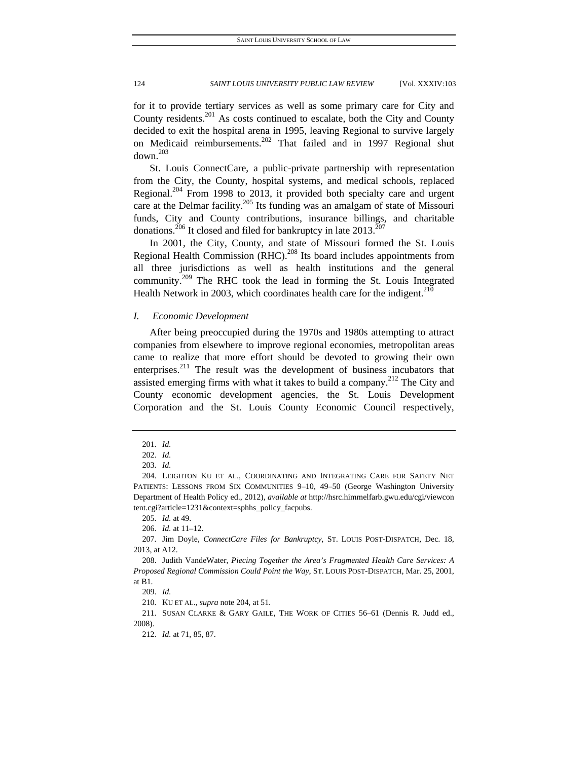for it to provide tertiary services as well as some primary care for City and County residents. $^{201}$  As costs continued to escalate, both the City and County decided to exit the hospital arena in 1995, leaving Regional to survive largely on Medicaid reimbursements.<sup>202</sup> That failed and in 1997 Regional shut  $down<sup>203</sup>$ 

St. Louis ConnectCare, a public-private partnership with representation from the City, the County, hospital systems, and medical schools, replaced Regional.<sup>204</sup> From 1998 to 2013, it provided both specialty care and urgent care at the Delmar facility.<sup>205</sup> Its funding was an amalgam of state of Missouri funds, City and County contributions, insurance billings, and charitable donations.<sup>206</sup> It closed and filed for bankruptcy in late  $2013$ <sup>207</sup>

In 2001, the City, County, and state of Missouri formed the St. Louis Regional Health Commission  $(RHC)$ <sup>208</sup> Its board includes appointments from all three jurisdictions as well as health institutions and the general community.<sup>209</sup> The RHC took the lead in forming the St. Louis Integrated Health Network in 2003, which coordinates health care for the indigent.<sup>210</sup>

# *I. Economic Development*

After being preoccupied during the 1970s and 1980s attempting to attract companies from elsewhere to improve regional economies, metropolitan areas came to realize that more effort should be devoted to growing their own enterprises.211 The result was the development of business incubators that assisted emerging firms with what it takes to build a company.<sup>212</sup> The City and County economic development agencies, the St. Louis Development Corporation and the St. Louis County Economic Council respectively,

206. *Id.* at 11–12.

210. KU ET AL., *supra* note 204, at 51.

 211. SUSAN CLARKE & GARY GAILE, THE WORK OF CITIES 56–61 (Dennis R. Judd ed., 2008).

212. *Id.* at 71, 85, 87.

 <sup>201.</sup> *Id.*

 <sup>202.</sup> *Id.*

 <sup>203.</sup> *Id.*

 <sup>204.</sup> LEIGHTON KU ET AL., COORDINATING AND INTEGRATING CARE FOR SAFETY NET PATIENTS: LESSONS FROM SIX COMMUNITIES 9–10, 49–50 (George Washington University Department of Health Policy ed., 2012), *available at* http://hsrc.himmelfarb.gwu.edu/cgi/viewcon tent.cgi?article=1231&context=sphhs\_policy\_facpubs.

 <sup>205.</sup> *Id.* at 49.

 <sup>207.</sup> Jim Doyle, *ConnectCare Files for Bankruptcy*, ST. LOUIS POST-DISPATCH, Dec. 18, 2013, at A12.

 <sup>208.</sup> Judith VandeWater, *Piecing Together the Area's Fragmented Health Care Services: A Proposed Regional Commission Could Point the Way*, ST. LOUIS POST-DISPATCH, Mar. 25, 2001, at B1.

 <sup>209.</sup> *Id.*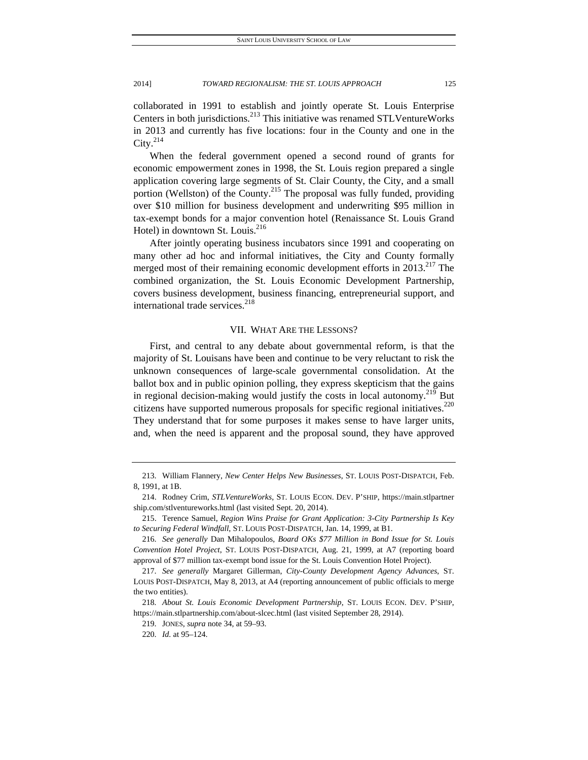collaborated in 1991 to establish and jointly operate St. Louis Enterprise Centers in both jurisdictions.<sup>213</sup> This initiative was renamed STLVentureWorks in 2013 and currently has five locations: four in the County and one in the City. $^{214}$ 

When the federal government opened a second round of grants for economic empowerment zones in 1998, the St. Louis region prepared a single application covering large segments of St. Clair County, the City, and a small portion (Wellston) of the County.<sup>215</sup> The proposal was fully funded, providing over \$10 million for business development and underwriting \$95 million in tax-exempt bonds for a major convention hotel (Renaissance St. Louis Grand Hotel) in downtown St. Louis.<sup>216</sup>

After jointly operating business incubators since 1991 and cooperating on many other ad hoc and informal initiatives, the City and County formally merged most of their remaining economic development efforts in  $2013$ <sup>217</sup> The combined organization, the St. Louis Economic Development Partnership, covers business development, business financing, entrepreneurial support, and international trade services.<sup>218</sup>

# VII. WHAT ARE THE LESSONS?

First, and central to any debate about governmental reform, is that the majority of St. Louisans have been and continue to be very reluctant to risk the unknown consequences of large-scale governmental consolidation. At the ballot box and in public opinion polling, they express skepticism that the gains in regional decision-making would justify the costs in local autonomy.<sup>219</sup> But citizens have supported numerous proposals for specific regional initiatives.<sup>220</sup> They understand that for some purposes it makes sense to have larger units, and, when the need is apparent and the proposal sound, they have approved

 <sup>213.</sup> William Flannery, *New Center Helps New Businesses*, ST. LOUIS POST-DISPATCH, Feb. 8, 1991, at 1B.

 <sup>214.</sup> Rodney Crim, *STLVentureWorks*, ST. LOUIS ECON. DEV. P'SHIP, https://main.stlpartner ship.com/stlventureworks.html (last visited Sept. 20, 2014).

 <sup>215.</sup> Terence Samuel, *Region Wins Praise for Grant Application: 3-City Partnership Is Key to Securing Federal Windfall*, ST. LOUIS POST-DISPATCH, Jan. 14, 1999, at B1.

 <sup>216.</sup> *See generally* Dan Mihalopoulos, *Board OKs \$77 Million in Bond Issue for St. Louis Convention Hotel Project*, ST. LOUIS POST-DISPATCH, Aug. 21, 1999, at A7 (reporting board approval of \$77 million tax-exempt bond issue for the St. Louis Convention Hotel Project).

 <sup>217.</sup> *See generally* Margaret Gillerman, *City-County Development Agency Advances*, ST. LOUIS POST-DISPATCH, May 8, 2013, at A4 (reporting announcement of public officials to merge the two entities).

<sup>218</sup>*. About St. Louis Economic Development Partnership*, ST. LOUIS ECON. DEV. P'SHIP, https://main.stlpartnership.com/about-slcec.html (last visited September 28, 2914).

 <sup>219.</sup> JONES, *supra* note 34, at 59–93.

 <sup>220.</sup> *Id.* at 95–124.